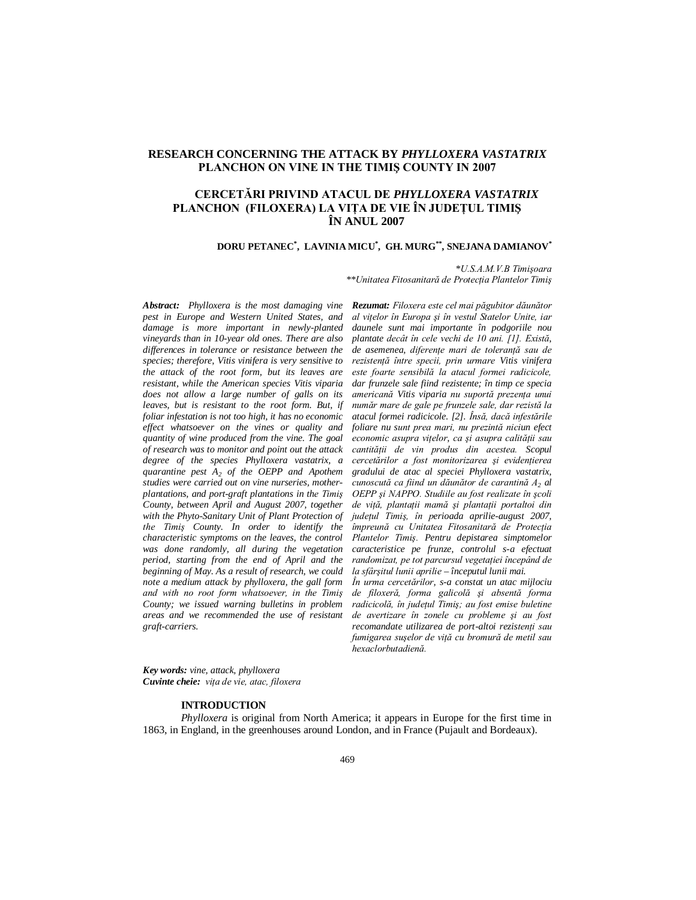# **RESEARCH CONCERNING THE ATTACK BY** *PHYLLOXERA VASTATRIX* **PLANCHON ON VINE IN THE TIMIŞ COUNTY IN 2007**

## **CERCETĂRI PRIVIND ATACUL DE** *PHYLLOXERA VASTATRIX* **PLANCHON (FILOXERA) LA VIŢA DE VIE ÎN JUDEŢUL TIMIŞ ÎN ANUL 2007**

**DORU PETANEC\* , LAVINIA MICU\* , GH. MURG\*\*, SNEJANA DAMIANOV\***

*\*U.S.A.M.V.B Timişoara*

 *\*\*Unitatea Fitosanitară de Protecţia Plantelor Timiş* 

*Abstract: Phylloxera is the most damaging vine pest in Europe and Western United States, and damage is more important in newly-planted vineyards than in 10-year old ones. There are also differences in tolerance or resistance between the species; therefore, Vitis vinifera is very sensitive to the attack of the root form, but its leaves are resistant, while the American species Vitis viparia does not allow a large number of galls on its leaves, but is resistant to the root form. But, if foliar infestation is not too high, it has no economic effect whatsoever on the vines or quality and quantity of wine produced from the vine. The goal of research was to monitor and point out the attack degree of the species Phylloxera vastatrix, a quarantine pest A<sup>2</sup> of the OEPP and Apothem studies were carried out on vine nurseries, motherplantations, and port-graft plantations in the Timiş County, between April and August 2007, together with the Phyto-Sanitary Unit of Plant Protection of the Timiş County. In order to identify the characteristic symptoms on the leaves, the control was done randomly, all during the vegetation period, starting from the end of April and the beginning of May. As a result of research, we could note a medium attack by phylloxera, the gall form and with no root form whatsoever, in the Timiş County; we issued warning bulletins in problem areas and we recommended the use of resistant graft-carriers.*

*Rezumat: Filoxera este cel mai păgubitor dăunător al viţelor în Europa şi în vestul Statelor Unite, iar daunele sunt mai importante în podgoriile nou plantate decât în cele vechi de 10 ani. [1]. Există, de asemenea, diferenţe mari de toleranţă sau de rezistenţă între specii, prin urmare Vitis vinifera este foarte sensibilă la atacul formei radicicole, dar frunzele sale fiind rezistente; în timp ce specia americană Vitis viparia nu suportă prezenţa unui număr mare de gale pe frunzele sale, dar rezistă la atacul formei radicicole. [2]. Însă, dacă infestările foliare nu sunt prea mari, nu prezintă niciun efect economic asupra viţelor, ca şi asupra calităţii sau cantităţii de vin produs din acestea. Scopul cercetărilor a fost monitorizarea şi evidenţierea gradului de atac al speciei Phylloxera vastatrix, cunoscută ca fiind un dăunător de carantină A<sup>2</sup> al OEPP şi NAPPO. Studiile au fost realizate în şcoli de viţă, plantaţii mamă şi plantaţii portaltoi din judeţul Timiş, în perioada aprilie-august 2007, împreună cu Unitatea Fitosanitară de Protecţia Plantelor Timiş. Pentru depistarea simptomelor caracteristice pe frunze, controlul s-a efectuat randomizat, pe tot parcursul vegetaţiei începând de la sfârşitul lunii aprilie – începutul lunii mai.*

*În urma cercetărilor, s-a constat un atac mijlociu de filoxeră, forma galicolă şi absentă forma radicicolă, în judeţul Timiş; au fost emise buletine de avertizare în zonele cu probleme şi au fost recomandate utilizarea de port-altoi rezistenţi sau fumigarea suşelor de viţă cu bromură de metil sau hexaclorbutadienă.*

*Key words: vine, attack, phylloxera Cuvinte cheie: viţa de vie, atac, filoxera* 

## **INTRODUCTION**

*Phylloxera* is original from North America; it appears in Europe for the first time in 1863, in England, in the greenhouses around London, and in France (Pujault and Bordeaux).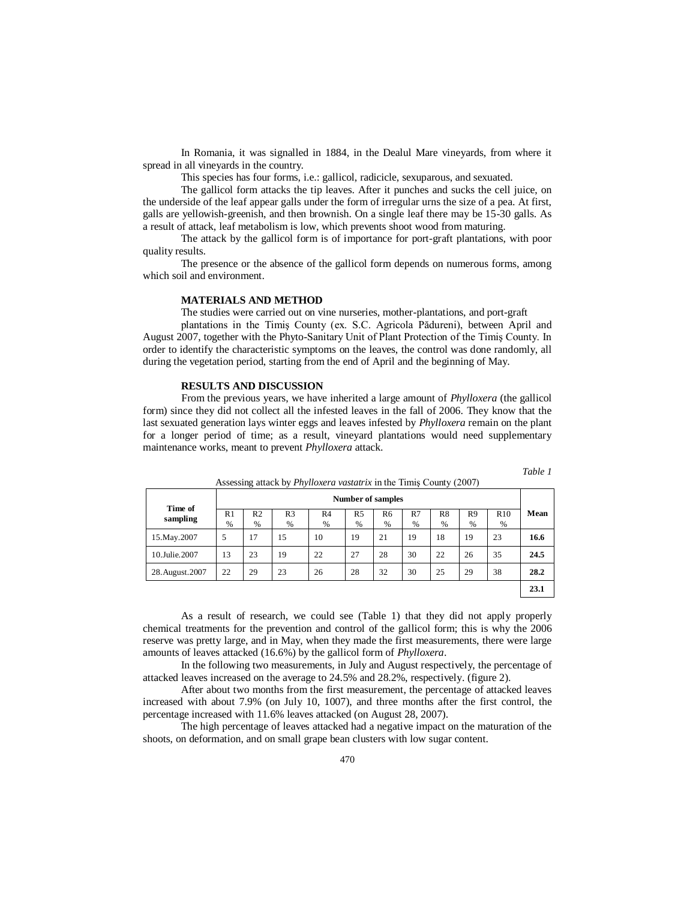In Romania, it was signalled in 1884, in the Dealul Mare vineyards, from where it spread in all vineyards in the country.

This species has four forms, i.e.: gallicol, radicicle, sexuparous, and sexuated.

The gallicol form attacks the tip leaves. After it punches and sucks the cell juice, on the underside of the leaf appear galls under the form of irregular urns the size of a pea. At first, galls are yellowish-greenish, and then brownish. On a single leaf there may be 15-30 galls. As a result of attack, leaf metabolism is low, which prevents shoot wood from maturing.

The attack by the gallicol form is of importance for port-graft plantations, with poor quality results.

The presence or the absence of the gallicol form depends on numerous forms, among which soil and environment.

### **MATERIALS AND METHOD**

The studies were carried out on vine nurseries, mother-plantations, and port-graft plantations in the Timiş County (ex. S.C. Agricola Pădureni), between April and August 2007, together with the Phyto-Sanitary Unit of Plant Protection of the Timiş County. In order to identify the characteristic symptoms on the leaves, the control was done randomly, all during the vegetation period, starting from the end of April and the beginning of May.

#### **RESULTS AND DISCUSSION**

From the previous years, we have inherited a large amount of *Phylloxera* (the gallicol form) since they did not collect all the infested leaves in the fall of 2006. They know that the last sexuated generation lays winter eggs and leaves infested by *Phylloxera* remain on the plant for a longer period of time; as a result, vineyard plantations would need supplementary maintenance works, meant to prevent *Phylloxera* attack.

| m |  |
|---|--|
|   |  |

|                     |                          | -------             |                        |                     |                     |            |         | $\sim$  | .                      |          |      |
|---------------------|--------------------------|---------------------|------------------------|---------------------|---------------------|------------|---------|---------|------------------------|----------|------|
|                     | <b>Number of samples</b> |                     |                        |                     |                     |            |         |         |                        |          |      |
| Time of<br>sampling | R <sub>1</sub><br>$\%$   | R <sub>2</sub><br>% | R <sub>3</sub><br>$\%$ | R <sub>4</sub><br>% | R <sub>5</sub><br>% | R6<br>$\%$ | R7<br>% | R8<br>% | R <sub>9</sub><br>$\%$ | R10<br>% | Mean |
| 15. May. 2007       | 5                        | 17                  | 15                     | 10                  | 19                  | 21         | 19      | 18      | 19                     | 23       | 16.6 |
| 10.Julie.2007       | 13                       | 23                  | 19                     | 22                  | 27                  | 28         | 30      | 22      | 26                     | 35       | 24.5 |
| 28. August. 2007    | 22                       | 29                  | 23                     | 26                  | 28                  | 32         | 30      | 25      | 29                     | 38       | 28.2 |
|                     |                          |                     |                        |                     |                     |            |         |         |                        |          | 23.1 |

Assessing attack by *Phylloxera vastatrix* in the Timiş County (2007)

As a result of research, we could see (Table 1) that they did not apply properly chemical treatments for the prevention and control of the gallicol form; this is why the 2006 reserve was pretty large, and in May, when they made the first measurements, there were large amounts of leaves attacked (16.6%) by the gallicol form of *Phylloxera*.

In the following two measurements, in July and August respectively, the percentage of attacked leaves increased on the average to 24.5% and 28.2%, respectively. (figure 2).

After about two months from the first measurement, the percentage of attacked leaves increased with about 7.9% (on July 10, 1007), and three months after the first control, the percentage increased with 11.6% leaves attacked (on August 28, 2007).

The high percentage of leaves attacked had a negative impact on the maturation of the shoots, on deformation, and on small grape bean clusters with low sugar content.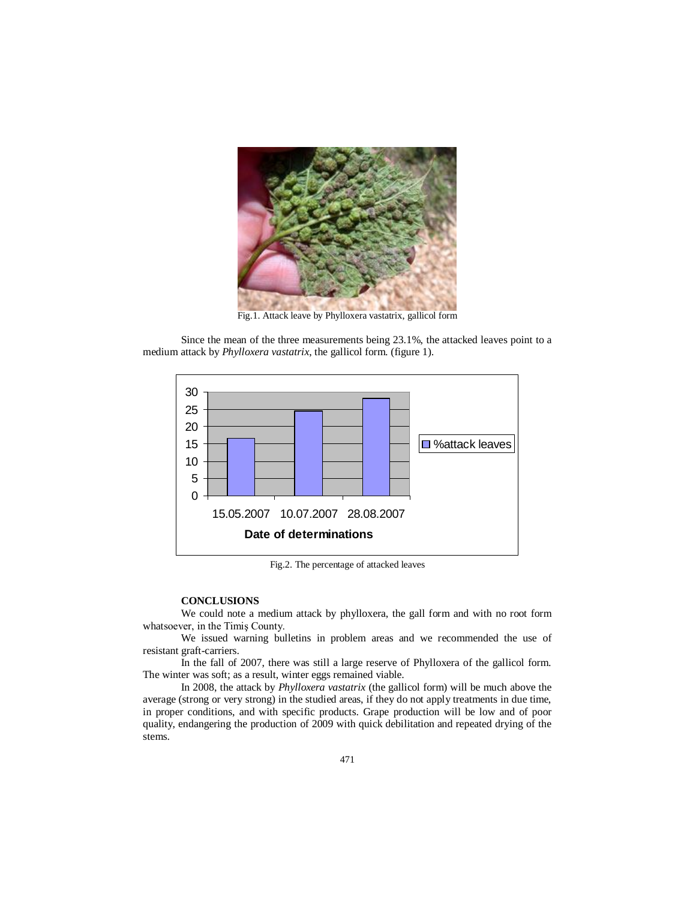

Fig.1. Attack leave by Phylloxera vastatrix, gallicol form

Since the mean of the three measurements being 23.1%, the attacked leaves point to a medium attack by *Phylloxera vastatrix*, the gallicol form. (figure 1).



Fig.2. The percentage of attacked leaves

### **CONCLUSIONS**

We could note a medium attack by phylloxera, the gall form and with no root form whatsoever, in the Timiş County.

We issued warning bulletins in problem areas and we recommended the use of resistant graft-carriers.

In the fall of 2007, there was still a large reserve of Phylloxera of the gallicol form. The winter was soft; as a result, winter eggs remained viable.

In 2008, the attack by *Phylloxera vastatrix* (the gallicol form) will be much above the average (strong or very strong) in the studied areas, if they do not apply treatments in due time, in proper conditions, and with specific products. Grape production will be low and of poor quality, endangering the production of 2009 with quick debilitation and repeated drying of the stems.